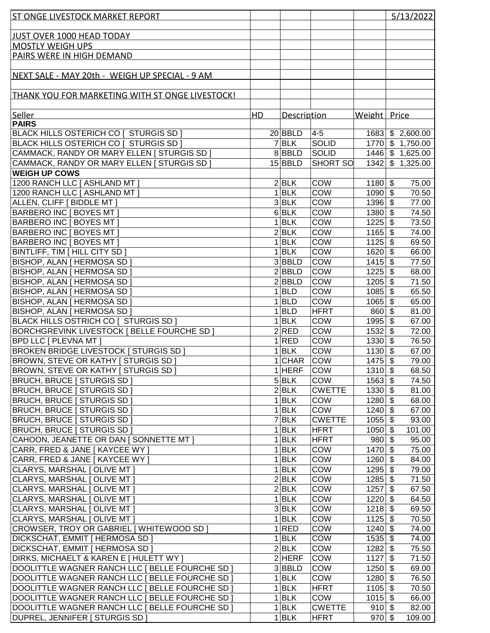| <b>ST ONGE LIVESTOCK MARKET REPORT</b>                 |    |                           |                              |                             | 5/13/2022                           |
|--------------------------------------------------------|----|---------------------------|------------------------------|-----------------------------|-------------------------------------|
|                                                        |    |                           |                              |                             |                                     |
| JUST OVER 1000 HEAD TODAY                              |    |                           |                              |                             |                                     |
| <b>MOSTLY WEIGH UPS</b>                                |    |                           |                              |                             |                                     |
| PAIRS WERE IN HIGH DEMAND                              |    |                           |                              |                             |                                     |
|                                                        |    |                           |                              |                             |                                     |
| NEXT SALE - MAY 20th - WEIGH UP SPECIAL - 9 AM         |    |                           |                              |                             |                                     |
|                                                        |    |                           |                              |                             |                                     |
| <b>THANK YOU FOR MARKETING WITH ST ONGE LIVESTOCK!</b> |    |                           |                              |                             |                                     |
|                                                        |    |                           |                              |                             |                                     |
| Seller                                                 | HD | Description               |                              | Weight Price                |                                     |
| <b>PAIRS</b>                                           |    |                           |                              |                             |                                     |
| BLACK HILLS OSTERICH CO [ STURGIS SD ]                 |    | $20$ BBLD                 | $ 4-5 $                      | 1683                        | \$2,600.00                          |
| BLACK HILLS OSTERICH CO [ STURGIS SD ]                 |    | $7$ BLK                   | <b>SOLID</b>                 | 1770                        | \$1,750.00                          |
| CAMMACK, RANDY OR MARY ELLEN   STURGIS SD              |    | $8$ BBLD                  | <b>SOLID</b>                 |                             | 1446 \$1,625.00                     |
| CAMMACK, RANDY OR MARY ELLEN   STURGIS SD              |    | $15$ BBLD                 | <b>SHORT SO</b>              | 1342                        | \$1,325.00                          |
| <b>WEIGH UP COWS</b>                                   |    |                           |                              |                             |                                     |
| 1200 RANCH LLC [ ASHLAND MT ]                          |    | 2 BLK                     | <b>COW</b>                   |                             | 75.00                               |
|                                                        |    | $1$ <b>BLK</b>            |                              | $1180$ \$                   |                                     |
| 1200 RANCH LLC [ ASHLAND MT ]                          |    | 3 BLK                     | <b>COW</b>                   | $1090$ \$                   | 70.50                               |
| ALLEN, CLIFF [ BIDDLE MT ]                             |    |                           | <b>COW</b>                   | $1396$ \$                   | 77.00                               |
| <b>BARBERO INC [ BOYES MT ]</b>                        |    | $6$ BLK                   | <b>COW</b>                   | $1380$ \$                   | 74.50                               |
| <b>BARBERO INC [ BOYES MT ]</b>                        |    | $1$ BLK                   | <b>COW</b>                   | 1225                        | $\boldsymbol{\mathsf{s}}$<br>73.50  |
| <b>BARBERO INC [ BOYES MT ]</b>                        |    | 2 BLK                     | <b>COW</b>                   | 1165                        | $\boldsymbol{\mathsf{S}}$<br>74.00  |
| <b>BARBERO INC [ BOYES MT ]</b>                        |    | $1$ <b>BLK</b>            | COW                          | 1125                        | $\boldsymbol{\mathsf{s}}$<br>69.50  |
| BINTLIFF, TIM   HILL CITY SD                           |    | $1$ <b>BLK</b>            | COW                          | 1620                        | $\sqrt[3]{3}$<br>66.00              |
| BISHOP, ALAN   HERMOSA SD                              |    | $3$ <b>BBLD</b>           | <b>COW</b>                   | 1415                        | $\sqrt[3]{5}$<br>77.50              |
| <b>BISHOP, ALAN [ HERMOSA SD ]</b>                     |    | $2$ <b>BBLD</b>           | COW                          | 1225                        | $\overline{\mathcal{S}}$<br>68.00   |
| BISHOP, ALAN [ HERMOSA SD ]                            |    | $\overline{2}$ BBLD       | <b>COW</b>                   | 1205                        | $\overline{\mathbf{3}}$<br>71.50    |
| <b>BISHOP, ALAN [ HERMOSA SD ]</b>                     |    | $1$ <b>BLD</b>            | COW                          | 1085                        | $\overline{\mathbf{3}}$<br>65.50    |
| <b>BISHOP, ALAN [ HERMOSA SD ]</b>                     |    | $1 $ BLD                  | COW                          | 1065                        | $\overline{\mathbf{s}}$<br>65.00    |
| BISHOP, ALAN [ HERMOSA SD ]                            |    | $1 $ BLD                  | <b>HFRT</b>                  | 860                         | $\boldsymbol{\mathsf{S}}$<br>81.00  |
| BLACK HILLS OSTRICH CO [ STURGIS SD ]                  |    | $1$ <b>BLK</b>            | COW                          | 1995                        | $\boldsymbol{\mathsf{\$}}$<br>67.00 |
| BORCHGREVINK LIVESTOCK [ BELLE FOURCHE SD ]            |    | 2 RED                     | COW                          | 1532                        | $\boldsymbol{\mathsf{S}}$<br>72.00  |
| <b>BPD LLC [ PLEVNA MT ]</b>                           |    | 1 RED                     | <b>COW</b>                   | $1330 \sqrt{3}$             | 76.50                               |
| <b>BROKEN BRIDGE LIVESTOCK   STURGIS SD  </b>          |    | $1$ <b>BLK</b>            | <b>COW</b>                   | 1130                        | $\sqrt[6]{3}$<br>67.00              |
| <b>BROWN, STEVE OR KATHY [ STURGIS SD ]</b>            |    | 1 CHAR                    | <b>COW</b>                   | 1475                        | \$<br>79.00                         |
| <b>BROWN, STEVE OR KATHY [ STURGIS SD ]</b>            |    | $1$ HERF                  | <b>COW</b>                   | $1310$ \$                   | 68.50                               |
| <b>BRUCH, BRUCE [ STURGIS SD ]</b>                     |    | $5$ <b>BLK</b>            | COW                          | $1563$ \$                   | 74.50                               |
| <b>BRUCH, BRUCE   STURGIS SD  </b>                     |    | $\overline{2}$ <b>BLK</b> | <b>CWETTE</b>                | $1330$ \$                   | 81.00                               |
| <b>BRUCH, BRUCE   STURGIS SD  </b>                     |    | $1$ <b>BLK</b>            | COW                          | 1280                        | \$<br>68.00                         |
| <b>BRUCH, BRUCE [ STURGIS SD ]</b>                     |    | 1 BLK                     | COW                          | 1240                        | \$<br>67.00                         |
| <b>BRUCH, BRUCE [ STURGIS SD ]</b>                     |    | $7$ $BLK$                 | <b>CWETTE</b>                | 1055                        | \$<br>93.00                         |
| <b>BRUCH, BRUCE   STURGIS SD  </b>                     |    | 1 BLK                     | <b>HFRT</b>                  | 1050                        | \$<br>101.00                        |
| CAHOON, JEANETTE OR DAN [ SONNETTE MT ]                |    | $1$ <b>BLK</b>            | <b>HFRT</b>                  | 980                         | $\boldsymbol{\mathsf{s}}$<br>95.00  |
| CARR, FRED & JANE [ KAYCEE WY ]                        |    | $1$ <b>BLK</b>            | COW                          | $1470 \overline{\smash{3}}$ | 75.00                               |
| CARR, FRED & JANE [ KAYCEE WY ]                        |    | $1$ <b>BLK</b>            | COW                          | 1260                        | \$<br>84.00                         |
| CLARYS, MARSHAL [ OLIVE MT ]                           |    | $1$ <b>BLK</b>            | COW                          | 1295                        | $\boldsymbol{\mathsf{S}}$<br>79.00  |
| CLARYS, MARSHAL [ OLIVE MT ]                           |    | 2 BLK                     | COW                          | 1285                        | \$<br>71.50                         |
| CLARYS, MARSHAL [ OLIVE MT ]                           |    | 2 BLK                     | COW                          | 1257                        | \$<br>67.50                         |
| CLARYS, MARSHAL [ OLIVE MT ]                           |    | 1 BLK                     | COW                          | 1220                        | $\boldsymbol{\mathsf{\$}}$<br>64.50 |
| CLARYS, MARSHAL [ OLIVE MT ]                           |    | 3 BLK                     | COW                          | 1218                        | \$<br>69.50                         |
| CLARYS, MARSHAL [ OLIVE MT ]                           |    | 1 BLK                     | COW                          | 1125                        | \$<br>70.50                         |
| CROWSER, TROY OR GABRIEL [ WHITEWOOD SD ]              |    | 1 RED                     | COW                          | $1240$ \$                   | 74.00                               |
| <b>DICKSCHAT, EMMIT   HERMOSA SD  </b>                 |    | $1$ <b>BLK</b>            | COW                          | 1535                        | \$<br>74.00                         |
| <b>DICKSCHAT, EMMIT   HERMOSA SD  </b>                 |    | 2 BLK                     | COW                          | 1282                        | 75.50<br>\$                         |
| DIRKS, MICHAELT & KAREN E [ HULETT WY ]                |    | $2$ HERF                  | <b>COW</b>                   | 1127                        | $\mathfrak{F}$<br>71.50             |
| DOOLITTLE WAGNER RANCH LLC [ BELLE FOURCHE SD ]        |    | 3 BBLD                    | COW                          | 1250                        | \$<br>69.00                         |
| DOOLITTLE WAGNER RANCH LLC [ BELLE FOURCHE SD ]        |    | 1 BLK                     | COW                          | 1280                        | $\sqrt[6]{3}$<br>76.50              |
| DOOLITTLE WAGNER RANCH LLC   BELLE FOURCHE SD          |    | 1 BLK                     | <b>HFRT</b>                  | 1105                        | \$<br>70.50                         |
| DOOLITTLE WAGNER RANCH LLC   BELLE FOURCHE SD          |    | 1 BLK                     | COW                          | 1015                        | \$                                  |
|                                                        |    |                           |                              | $910$ \$                    | 66.00                               |
| DOOLITTLE WAGNER RANCH LLC   BELLE FOURCHE SD          |    | 1 BLK<br>$1$ <b>BLK</b>   | <b>CWETTE</b><br><b>HFRT</b> | 970                         | 82.00<br>\$<br>109.00               |
| DUPREL, JENNIFER   STURGIS SD                          |    |                           |                              |                             |                                     |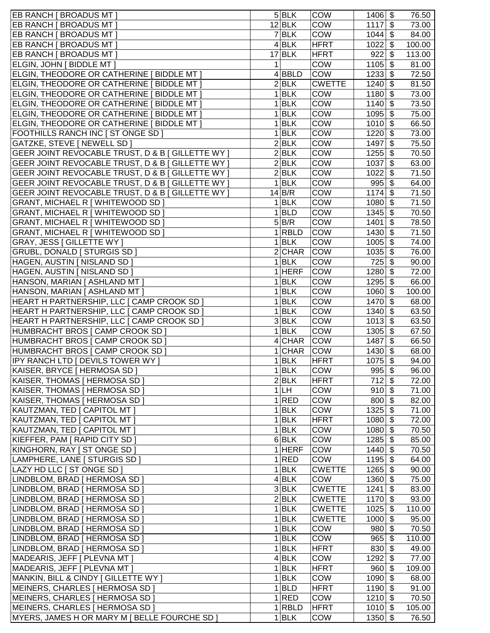| EB RANCH [ BROADUS MT ]                           |   | 5 BLK                     | <b>COW</b>    | 1406      | \$<br>76.50                          |
|---------------------------------------------------|---|---------------------------|---------------|-----------|--------------------------------------|
| EB RANCH [ BROADUS MT ]                           |   | $12$ <b>BLK</b>           | <b>COW</b>    | 1117      | \$<br>73.00                          |
| EB RANCH [ BROADUS MT ]                           |   | $7$ $BLK$                 | COW           | 1044      | \$<br>84.00                          |
| EB RANCH [ BROADUS MT ]                           |   | 4 BLK                     | HFRT          | 1022      | $\boldsymbol{\mathsf{\$}}$<br>100.00 |
| EB RANCH [ BROADUS MT ]                           |   | $17$ BLK                  | HFRT          | 922       | $\boldsymbol{\mathsf{S}}$<br>113.00  |
| ELGIN, JOHN [ BIDDLE MT ]                         | 1 |                           | COW           | 1105      | $\boldsymbol{\mathsf{S}}$<br>81.00   |
| ELGIN, THEODORE OR CATHERINE [ BIDDLE MT ]        |   | 4 BBLD                    | COW           | 1233      | \$<br>72.50                          |
| ELGIN, THEODORE OR CATHERINE [ BIDDLE MT ]        |   | 2 BLK                     | <b>CWETTE</b> | 1240      | \$<br>81.50                          |
| ELGIN, THEODORE OR CATHERINE [ BIDDLE MT ]        |   | 1 BLK                     | COW           | 1180      | $\frac{1}{2}$<br>73.00               |
| ELGIN, THEODORE OR CATHERINE [ BIDDLE MT ]        |   | 1 BLK                     | COW           | 1140      | \$<br>73.50                          |
| ELGIN, THEODORE OR CATHERINE [ BIDDLE MT ]        |   | 1 BLK                     | COW           | 1095      | \$<br>75.00                          |
| ELGIN, THEODORE OR CATHERINE [ BIDDLE MT ]        |   | 1 BLK                     | COW           | 1010      | $\boldsymbol{\mathsf{S}}$<br>66.50   |
| FOOTHILLS RANCH INC [ ST ONGE SD ]                |   | $1$ <b>BLK</b>            | COW           | 1220      | \$<br>73.00                          |
| GATZKE, STEVE [ NEWELL SD ]                       |   | 2 BLK                     | COW           | 1497      | \$<br>75.50                          |
| GEER JOINT REVOCABLE TRUST, D & B   GILLETTE WY   |   | $\overline{2}$ <b>BLK</b> | COW           | 1255      | \$<br>70.50                          |
| GEER JOINT REVOCABLE TRUST, D & B   GILLETTE WY   |   | 2 BLK                     | COW           | 1037      | \$<br>63.00                          |
| GEER JOINT REVOCABLE TRUST, D & B   GILLETTE WY   |   | 2 BLK                     | COW           | 1022      | \$<br>71.50                          |
| GEER JOINT REVOCABLE TRUST, D & B   GILLETTE WY   |   | 1 BLK                     | COW           | 995       | \$<br>64.00                          |
| GEER JOINT REVOCABLE TRUST, D & B [ GILLETTE WY ] |   | 14 B/R                    | COW           | 1174      | \$<br>71.50                          |
| GRANT, MICHAEL R [ WHITEWOOD SD ]                 |   | 1 BLK                     | COW           | 1080      | \$<br>71.50                          |
| GRANT, MICHAEL R [ WHITEWOOD SD ]                 |   | $1 $ BLD                  | COW           | 1345      | $\boldsymbol{\mathsf{\$}}$<br>70.50  |
| GRANT, MICHAEL R [ WHITEWOOD SD ]                 |   | 5 B/R                     | COW           | 1401      | $\boldsymbol{\mathsf{S}}$<br>78.50   |
| GRANT, MICHAEL R [ WHITEWOOD SD ]                 |   | $1 $ RBLD                 | COW           | 1430      | \$<br>71.50                          |
| GRAY, JESS   GILLETTE WY                          |   | $1$ <b>BLK</b>            | COW           | 1005      | $\boldsymbol{\mathsf{S}}$<br>74.00   |
|                                                   |   | 2 CHAR                    | <b>COW</b>    | 1035      | $\frac{1}{2}$<br>76.00               |
| GRUBL, DONALD   STURGIS SD                        |   |                           |               |           |                                      |
| HAGEN, AUSTIN   NISLAND SD                        |   | 1 BLK                     | COW           | 725       | $\frac{1}{2}$<br>90.00               |
| HAGEN, AUSTIN [ NISLAND SD ]                      |   | $1$ HERF                  | <b>COW</b>    | 1280      | \$<br>72.00                          |
| HANSON, MARIAN [ ASHLAND MT ]                     |   | 1 BLK                     | COW           | 1295      | \$<br>66.00                          |
| HANSON, MARIAN [ ASHLAND MT ]                     |   | 1 BLK                     | COW           | 1060      | $\boldsymbol{\mathsf{S}}$<br>100.00  |
| HEART H PARTNERSHIP, LLC [ CAMP CROOK SD ]        |   | $1$ <b>BLK</b>            | COW           | 1470      | $\boldsymbol{\mathsf{S}}$<br>68.00   |
| HEART H PARTNERSHIP, LLC [ CAMP CROOK SD ]        |   | $1$ <b>BLK</b>            | COW           | 1340      | $\boldsymbol{\mathsf{S}}$<br>63.50   |
| HEART H PARTNERSHIP, LLC [ CAMP CROOK SD ]        |   | $3$ <b>BLK</b>            | COW           | 1013      | $\boldsymbol{\mathsf{S}}$<br>63.50   |
| HUMBRACHT BROS [ CAMP CROOK SD ]                  |   | 1 BLK                     | COW           | 1305      | $\frac{1}{2}$<br>67.50               |
| HUMBRACHT BROS [ CAMP CROOK SD ]                  |   | 4 CHAR                    | <b>COW</b>    | 1487      | $\boldsymbol{\mathsf{S}}$<br>66.50   |
| HUMBRACHT BROS [ CAMP CROOK SD ]                  |   | 1 CHAR                    | <b>COW</b>    | 1430      | \$<br>68.00                          |
| IPY RANCH LTD [ DEVILS TOWER WY ]                 |   | $1$ <b>BLK</b>            | <b>HFRT</b>   | 1075      | \$<br>94.00                          |
| KAISER, BRYCE   HERMOSA SD                        |   | 1 BLK                     | <b>COW</b>    | $995$ \$  | 96.00                                |
| KAISER, THOMAS [ HERMOSA SD ]                     |   | 2 BLK                     | HFRT          | $712$ \$  | 72.00                                |
| KAISER, THOMAS   HERMOSA SD                       |   | 1 LH                      | COW           | $910 $ \$ | 71.00                                |
| KAISER, THOMAS   HERMOSA SD                       |   | 1 RED                     | COW           | $800 $ \$ | 82.00                                |
| KAUTZMAN, TED [ CAPITOL MT ]                      |   | 1 BLK                     | COW           | $1325$ \$ | 71.00                                |
| KAUTZMAN, TED [ CAPITOL MT ]                      |   | 1 BLK                     | <b>HFRT</b>   | $1080$ \$ | 72.00                                |
| KAUTZMAN, TED [ CAPITOL MT ]                      |   | $1$ <b>BLK</b>            | <b>COW</b>    | $1080$ \$ | 70.50                                |
| KIEFFER, PAM [ RAPID CITY SD ]                    |   | $6$ BLK                   | COW           | $1285$ \$ | 85.00                                |
| KINGHORN, RAY [ ST ONGE SD ]                      |   | $1$ HERF                  | <b>COW</b>    | $1440$ \$ | 70.50                                |
| LAMPHERE, LANE   STURGIS SD                       |   | 1 RED                     | COW           | $1195$ \$ | 64.00                                |
| LAZY HD LLC [ ST ONGE SD ]                        |   | $1$ <b>BLK</b>            | <b>CWETTE</b> | 1265      | $\sqrt[6]{\frac{1}{2}}$<br>90.00     |
| LINDBLOM, BRAD   HERMOSA SD                       |   | 4 BLK                     | COW           | 1360      | $\boldsymbol{\mathsf{S}}$<br>75.00   |
| LINDBLOM, BRAD   HERMOSA SD                       |   | $3$ <b>BLK</b>            | <b>CWETTE</b> | 1241      | \$<br>83.00                          |
| LINDBLOM, BRAD   HERMOSA SD                       |   | 2 BLK                     | <b>CWETTE</b> | 1170      | \$<br>93.00                          |
| LINDBLOM, BRAD   HERMOSA SD                       |   | 1 BLK                     | <b>CWETTE</b> | 1025      | \$<br>110.00                         |
| LINDBLOM, BRAD   HERMOSA SD                       |   | 1 BLK                     | <b>CWETTE</b> | 1000      | \$<br>95.00                          |
| LINDBLOM, BRAD   HERMOSA SD                       |   | $1$ <b>BLK</b>            | COW           | $980 $ \$ | 70.50                                |
| LINDBLOM, BRAD   HERMOSA SD                       |   | $1$ <b>BLK</b>            | <b>COW</b>    | 965       | \$<br>110.00                         |
| LINDBLOM, BRAD   HERMOSA SD                       |   | 1 BLK                     | HFRT          | $830 $ \$ | 49.00                                |
| MADEARIS, JEFF   PLEVNA MT                        |   | 4 BLK                     | <b>COW</b>    | 1292      | 77.00<br>\$                          |
| MADEARIS, JEFF   PLEVNA MT                        |   | 1 BLK                     | HFRT          | 960       | \$<br>109.00                         |
| MANKIN, BILL & CINDY [ GILLETTE WY ]              |   | $1$ <b>BLK</b>            | <b>COW</b>    | $1090$ \$ | 68.00                                |
| MEINERS, CHARLES [ HERMOSA SD ]                   |   | $1 $ BLD                  | <b>HFRT</b>   | $1190$ \$ | 91.00                                |
| MEINERS, CHARLES [ HERMOSA SD ]                   |   | 1 RED                     | <b>COW</b>    | $1210$ \$ | 70.50                                |
| MEINERS, CHARLES [ HERMOSA SD ]                   |   | $1 $ RBLD                 | HFRT          | $1010$ \$ | 105.00                               |
| MYERS, JAMES H OR MARY M   BELLE FOURCHE SD       |   | $1$ <b>BLK</b>            | COW           | $1350$ \$ | 76.50                                |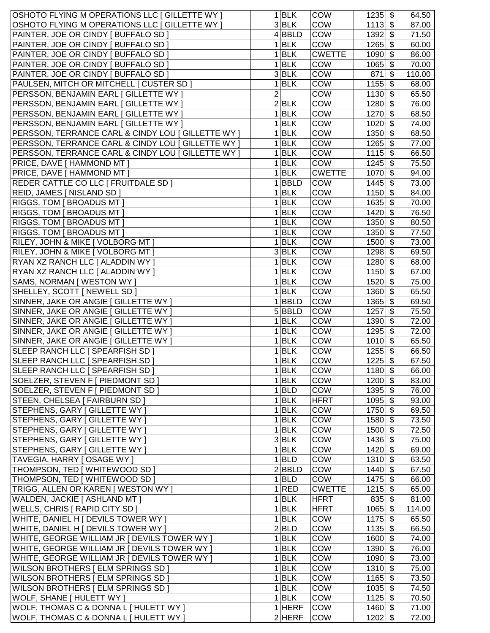| OSHOTO FLYING M OPERATIONS LLC [ GILLETTE WY ]   | 1 BLK           | <b>COW</b>    | \$<br>1235                         | 64.50  |
|--------------------------------------------------|-----------------|---------------|------------------------------------|--------|
| OSHOTO FLYING M OPERATIONS LLC [ GILLETTE WY ]   | 3 BLK           | COW           | $\boldsymbol{\mathsf{S}}$<br>1113  | 87.00  |
| PAINTER, JOE OR CINDY [ BUFFALO SD ]             | 4 BBLD          | COW           | 1392<br>\$                         | 71.50  |
| PAINTER, JOE OR CINDY [ BUFFALO SD ]             | 1 BLK           | COW           | 1265<br>\$                         | 60.00  |
| PAINTER, JOE OR CINDY [ BUFFALO SD ]             | 1 BLK           | <b>CWETTE</b> | \$<br>1090                         | 86.00  |
| PAINTER, JOE OR CINDY [ BUFFALO SD ]             | 1 BLK           | <b>COW</b>    | 1065<br>\$                         | 70.00  |
| PAINTER, JOE OR CINDY [ BUFFALO SD ]             | 3 BLK           | <b>COW</b>    | 871<br>\$                          | 110.00 |
| PAULSEN, MITCH OR MITCHELL [ CUSTER SD ]         | 1 BLK           | COW           | $\boldsymbol{\mathsf{S}}$<br>1155  | 68.00  |
| PERSSON, BENJAMIN EARL [ GILLETTE WY ]           | $\overline{2}$  | COW           | 1130<br>\$                         | 65.50  |
| PERSSON, BENJAMIN EARL [ GILLETTE WY ]           | 2 BLK           | COW           | 1280<br>\$                         | 76.00  |
| PERSSON, BENJAMIN EARL [ GILLETTE WY ]           | 1 BLK           | COW           | 1270<br>$\boldsymbol{\mathsf{\$}}$ | 68.50  |
| PERSSON, BENJAMIN EARL [ GILLETTE WY ]           | 1 BLK           | <b>COW</b>    | 1020<br>\$                         | 74.00  |
| PERSSON, TERRANCE CARL & CINDY LOU   GILLETTE WY | 1 BLK           | <b>COW</b>    | $\frac{1}{2}$<br>1350              | 68.50  |
| PERSSON, TERRANCE CARL & CINDY LOU   GILLETTE WY | 1 BLK           | COW           | $\boldsymbol{\mathsf{S}}$<br>1265  | 77.00  |
| PERSSON, TERRANCE CARL & CINDY LOU   GILLETTE WY | $1$ <b>BLK</b>  | COW           | $\boldsymbol{\mathsf{S}}$<br>1115  | 66.50  |
| PRICE, DAVE [ HAMMOND MT ]                       | $1$ <b>BLK</b>  | COW           | $\boldsymbol{\mathsf{S}}$<br>1245  | 75.50  |
| PRICE, DAVE [ HAMMOND MT ]                       | $1$ <b>BLK</b>  | <b>CWETTE</b> | \$<br>1070                         |        |
|                                                  |                 |               |                                    | 94.00  |
| REDER CATTLE CO LLC [ FRUITDALE SD ]             | BBLD<br>1       | COW           | 1445<br>\$                         | 73.00  |
| REID, JAMES [ NISLAND SD ]                       | <b>BLK</b><br>1 | COW           | 1150<br>\$                         | 84.00  |
| RIGGS, TOM [ BROADUS MT ]                        | <b>BLK</b><br>1 | COW           | 1635<br>\$                         | 70.00  |
| RIGGS, TOM [ BROADUS MT ]                        | <b>BLK</b><br>1 | COW           | 1420<br>\$                         | 76.50  |
| RIGGS, TOM [ BROADUS MT ]                        | 1 BLK           | COW           | 1350<br>\$                         | 80.50  |
| RIGGS, TOM [ BROADUS MT ]                        | 1 BLK           | COW           | 1350<br>\$                         | 77.50  |
| RILEY, JOHN & MIKE [ VOLBORG MT ]                | 1 BLK           | COW           | $\boldsymbol{\mathsf{S}}$<br>1500  | 73.00  |
| RILEY, JOHN & MIKE [ VOLBORG MT ]                | 3 BLK           | COW           | 1298<br>\$                         | 69.50  |
| RYAN XZ RANCH LLC [ ALADDIN WY ]                 | 1 BLK           | COW           | $\boldsymbol{\mathsf{S}}$<br>1280  | 68.00  |
| RYAN XZ RANCH LLC [ ALADDIN WY ]                 | 1 BLK           | COW           | 1150<br>$\boldsymbol{\mathsf{\$}}$ | 67.00  |
| SAMS, NORMAN [ WESTON WY ]                       | 1 BLK           | COW           | 1520<br>\$                         | 75.00  |
| SHELLEY, SCOTT   NEWELL SD                       | 1 BLK           | COW           | 1360<br>\$                         | 65.50  |
| SINNER, JAKE OR ANGIE [ GILLETTE WY ]            | $1$ <b>BBLD</b> | <b>COW</b>    | $\frac{1}{2}$<br>1365              | 69.50  |
| SINNER, JAKE OR ANGIE [ GILLETTE WY ]            | 5 BBLD          | COW           | \$<br>1257                         | 75.50  |
| SINNER, JAKE OR ANGIE [ GILLETTE WY ]            | 1 BLK           | COW           | $\boldsymbol{\mathsf{S}}$<br>1390  | 72.00  |
| SINNER, JAKE OR ANGIE [ GILLETTE WY ]            | 1 BLK           | COW           | \$<br>1295                         | 72.00  |
| SINNER, JAKE OR ANGIE   GILLETTE WY              | 1<br><b>BLK</b> | COW           | \$<br>1010                         | 65.50  |
| SLEEP RANCH LLC [ SPEARFISH SD ]                 | BLK<br>1        | COW           | \$<br>1255                         | 66.50  |
| SLEEP RANCH LLC [ SPEARFISH SD ]                 | 1 BLK           | COW           | \$<br>1225                         | 67.50  |
| SLEEP RANCH LLC [ SPEARFISH SD ]                 | $1$ BLK         | <b>COW</b>    | $1180$ \$                          | 66.00  |
| SOELZER, STEVEN F [ PIEDMONT SD ]                | 1 BLK           | <b>COW</b>    | $1200$ \$                          | 83.00  |
| SOELZER, STEVEN F [ PIEDMONT SD ]                | $1 $ BLD        | COW           | $1395$ \$                          | 76.00  |
| STEEN, CHELSEA   FAIRBURN SD ]                   | 1 BLK           | HFRT          | $1095$ \$                          | 93.00  |
| STEPHENS, GARY   GILLETTE WY                     | $1$ <b>BLK</b>  | <b>COW</b>    | $1750$ \$                          | 69.50  |
| STEPHENS, GARY [ GILLETTE WY ]                   | 1 BLK           | <b>COW</b>    | $1580$ \$                          | 73.50  |
| STEPHENS, GARY [ GILLETTE WY ]                   | 1 BLK           | COW           | $1500$ \$                          | 72.50  |
| STEPHENS, GARY [ GILLETTE WY ]                   | 3 BLK           | COW           | $1436$ \$                          | 75.00  |
| STEPHENS, GARY [ GILLETTE WY ]                   | 1 BLK           | <b>COW</b>    | $1420$ \$                          | 69.00  |
| TAVEGIA, HARRY [ OSAGE WY ]                      | $1 $ BLD        | COW           | $1310$ \$                          | 63.50  |
| THOMPSON, TED [ WHITEWOOD SD ]                   | 2 BBLD          | <b>COW</b>    | $1440$ \$                          | 67.50  |
| THOMPSON, TED [ WHITEWOOD SD ]                   | $1 $ BLD        | COW           | $1475$ \$                          | 66.00  |
| TRIGG, ALLEN OR KAREN [ WESTON WY ]              | 1 RED           | <b>CWETTE</b> | $1215$ \$                          | 65.00  |
| WALDEN, JACKIE [ ASHLAND MT ]                    | $1$ <b>BLK</b>  | <b>HFRT</b>   | $835 $ \$                          | 81.00  |
| WELLS, CHRIS [ RAPID CITY SD ]                   | $1$ <b>BLK</b>  | <b>HFRT</b>   | $1065$ \$                          | 114.00 |
| WHITE, DANIEL H [ DEVILS TOWER WY ]              | $1$ <b>BLK</b>  | COW           | $\boldsymbol{\mathsf{S}}$<br>1175  | 65.50  |
| WHITE, DANIEL H [ DEVILS TOWER WY ]              | 2 BLD           | COW           | $\sqrt[6]{\frac{1}{2}}$<br>1135    | 66.50  |
| WHITE, GEORGE WILLIAM JR [ DEVILS TOWER WY ]     | 1 BLK           | COW           | 1600<br>\$                         | 74.00  |
| WHITE, GEORGE WILLIAM JR [ DEVILS TOWER WY ]     | 1 BLK           | <b>COW</b>    | $1390 $ \$                         | 76.00  |
| WHITE, GEORGE WILLIAM JR [ DEVILS TOWER WY ]     | 1 BLK           | COW           | $1090$ \$                          | 73.00  |
| WILSON BROTHERS   ELM SPRINGS SD                 | $1$ <b>BLK</b>  | <b>COW</b>    | $1310$ \$                          | 75.00  |
| WILSON BROTHERS   ELM SPRINGS SD                 | 1 BLK           | <b>COW</b>    | $1165$ \$                          | 73.50  |
| WILSON BROTHERS   ELM SPRINGS SD                 | 1 BLK           | <b>COW</b>    | $1035$ \$                          | 74.50  |
| WOLF, SHANE [ HULETT WY ]                        | 1 BLK           | <b>COW</b>    | $1125$ \$                          | 70.50  |
| WOLF, THOMAS C & DONNA L [ HULETT WY ]           | $1$ HERF        | <b>COW</b>    | $1460$ \$                          | 71.00  |
| WOLF, THOMAS C & DONNA L [ HULETT WY ]           | $2$ HERF        | <b>COW</b>    | $1202$ \$                          | 72.00  |